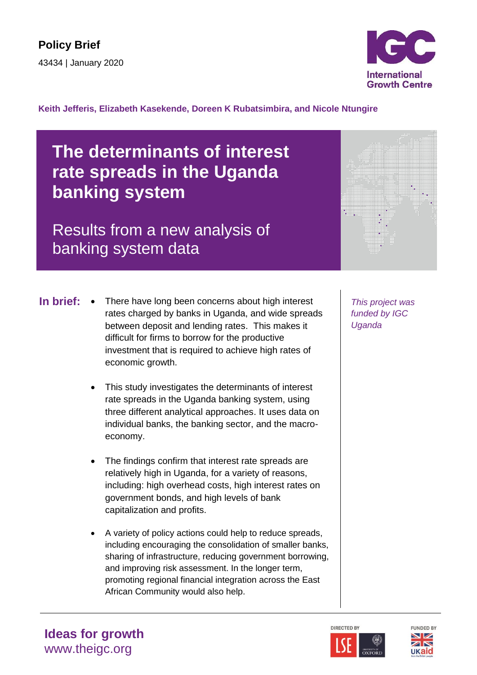

#### **Keith Jefferis, Elizabeth Kasekende, Doreen K Rubatsimbira, and Nicole Ntungire**

# **The determinants of interest rate spreads in the Uganda banking system**

# Results from a new analysis of banking system data

- 
- There have long been concerns about high interest **In brief:** *This project was*  rates charged by banks in Uganda, and wide spreads between deposit and lending rates. This makes it difficult for firms to borrow for the productive investment that is required to achieve high rates of economic growth.
	- This study investigates the determinants of interest rate spreads in the Uganda banking system, using three different analytical approaches. It uses data on individual banks, the banking sector, and the macroeconomy.
	- The findings confirm that interest rate spreads are relatively high in Uganda, for a variety of reasons, including: high overhead costs, high interest rates on government bonds, and high levels of bank capitalization and profits.
	- A variety of policy actions could help to reduce spreads, including encouraging the consolidation of smaller banks, sharing of infrastructure, reducing government borrowing, and improving risk assessment. In the longer term, promoting regional financial integration across the East African Community would also help.

*funded by IGC Uganda*





# **Ideas for growth** www.theigc.org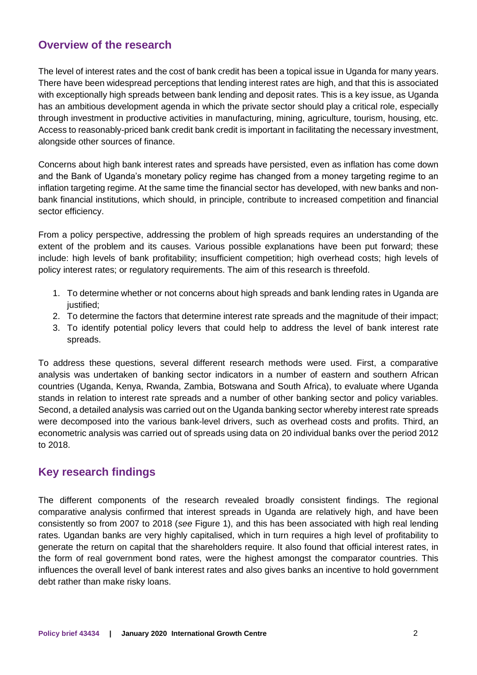## **Overview of the research**

The level of interest rates and the cost of bank credit has been a topical issue in Uganda for many years. There have been widespread perceptions that lending interest rates are high, and that this is associated with exceptionally high spreads between bank lending and deposit rates. This is a key issue, as Uganda has an ambitious development agenda in which the private sector should play a critical role, especially through investment in productive activities in manufacturing, mining, agriculture, tourism, housing, etc. Access to reasonably-priced bank credit bank credit is important in facilitating the necessary investment, alongside other sources of finance.

Concerns about high bank interest rates and spreads have persisted, even as inflation has come down and the Bank of Uganda's monetary policy regime has changed from a money targeting regime to an inflation targeting regime. At the same time the financial sector has developed, with new banks and nonbank financial institutions, which should, in principle, contribute to increased competition and financial sector efficiency.

From a policy perspective, addressing the problem of high spreads requires an understanding of the extent of the problem and its causes. Various possible explanations have been put forward; these include: high levels of bank profitability; insufficient competition; high overhead costs; high levels of policy interest rates; or regulatory requirements. The aim of this research is threefold.

- 1. To determine whether or not concerns about high spreads and bank lending rates in Uganda are justified:
- 2. To determine the factors that determine interest rate spreads and the magnitude of their impact;
- 3. To identify potential policy levers that could help to address the level of bank interest rate spreads.

To address these questions, several different research methods were used. First, a comparative analysis was undertaken of banking sector indicators in a number of eastern and southern African countries (Uganda, Kenya, Rwanda, Zambia, Botswana and South Africa), to evaluate where Uganda stands in relation to interest rate spreads and a number of other banking sector and policy variables. Second, a detailed analysis was carried out on the Uganda banking sector whereby interest rate spreads were decomposed into the various bank-level drivers, such as overhead costs and profits. Third, an econometric analysis was carried out of spreads using data on 20 individual banks over the period 2012 to 2018.

### **Key research findings**

The different components of the research revealed broadly consistent findings. The regional comparative analysis confirmed that interest spreads in Uganda are relatively high, and have been consistently so from 2007 to 2018 (*see* Figure 1), and this has been associated with high real lending rates. Ugandan banks are very highly capitalised, which in turn requires a high level of profitability to generate the return on capital that the shareholders require. It also found that official interest rates, in the form of real government bond rates, were the highest amongst the comparator countries. This influences the overall level of bank interest rates and also gives banks an incentive to hold government debt rather than make risky loans.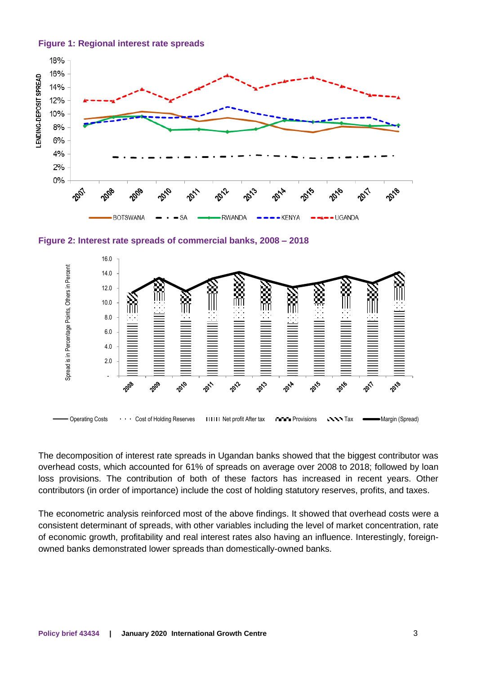



**Figure 2: Interest rate spreads of commercial banks, 2008 – 2018**



The decomposition of interest rate spreads in Ugandan banks showed that the biggest contributor was overhead costs, which accounted for 61% of spreads on average over 2008 to 2018; followed by loan loss provisions. The contribution of both of these factors has increased in recent years. Other contributors (in order of importance) include the cost of holding statutory reserves, profits, and taxes.

The econometric analysis reinforced most of the above findings. It showed that overhead costs were a consistent determinant of spreads, with other variables including the level of market concentration, rate of economic growth, profitability and real interest rates also having an influence. Interestingly, foreignowned banks demonstrated lower spreads than domestically-owned banks.